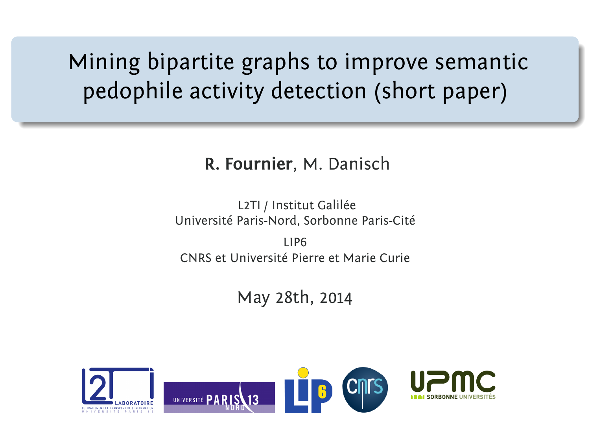Mining bipartite graphs to improve semantic pedophile activity detection (short paper)

#### **R. Fournier**, M. Danisch

L2TI / Institut Galilée Université Paris-Nord, Sorbonne Paris-Cité

LIP6 CNRS et Université Pierre et Marie Curie

May 28th, 2014

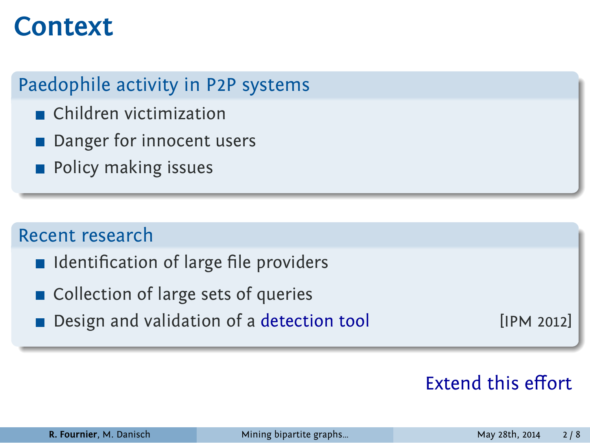## **Context**

Paedophile activity in P2P systems

- Children victimization
- Danger for innocent users
- **Policy making issues**

#### Recent research

- I Identification of large file providers
- **Collection of large sets of queries**
- **Design and validation of a detection tool** [IPM 2012]

### Extend this effort

| R. Fournier, M. Danisch |  |  |  |  |  |
|-------------------------|--|--|--|--|--|
|-------------------------|--|--|--|--|--|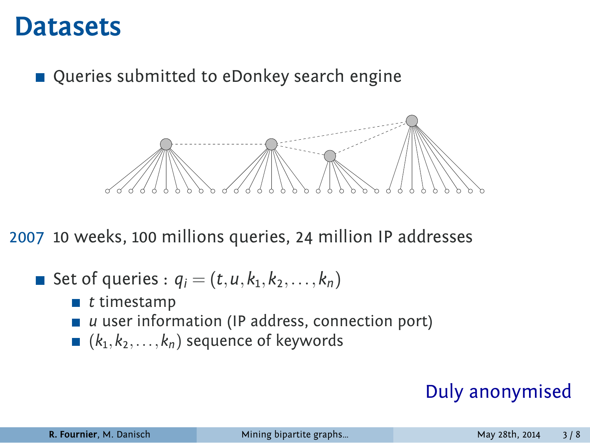### **Datasets**

■ Queries submitted to eDonkey search engine



2007 10 weeks, 100 millions queries, 24 million IP addresses

- Set of queries :  $q_i = (t, u, k_1, k_2, \ldots, k_n)$ 
	- *t* timestamp
	- *u* user information (IP address, connection port)
	- (*k*<sup>1</sup> *,k*2*,...,kn*) sequence of keywords

### Duly anonymised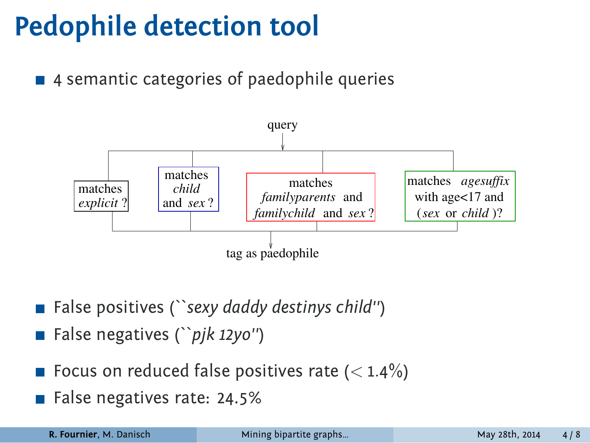## **Pedophile detection tool**

■ 4 semantic categories of paedophile queries



- False positives (*``sexy daddy destinys child''*)
- False negatives (*``pjk 12yo''*)
- Focus on reduced false positives rate (< 1.4%)
- False negatives rate: 24.5%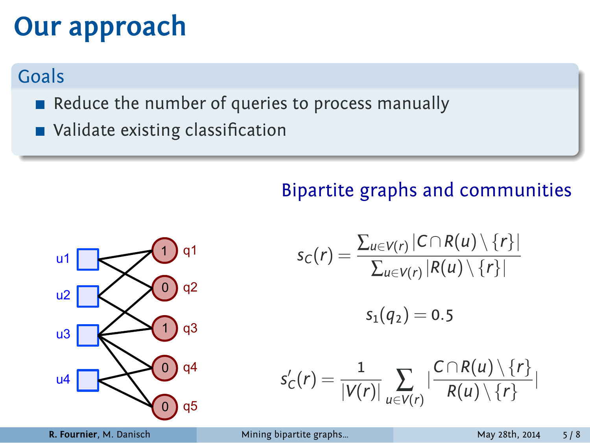# **Our approach**

### Goals

- Reduce the number of queries to process manually
- Validate existing classification

### Bipartite graphs and communities



$$
s_C(r) = \frac{\sum_{u \in V(r)} |C \cap R(u) \setminus \{r\}|}{\sum_{u \in V(r)} |R(u) \setminus \{r\}|}
$$

$$
s_1(q_2) = 0.5
$$

$$
s'_{C}(r) = \frac{1}{|V(r)|} \sum_{u \in V(r)} \left| \frac{C \cap R(u) \setminus \{r\}}{R(u) \setminus \{r\}} \right|
$$

**R. Fournier**, M. Danisch Mining bipartite graphs... May 28th, 2014 5 / 8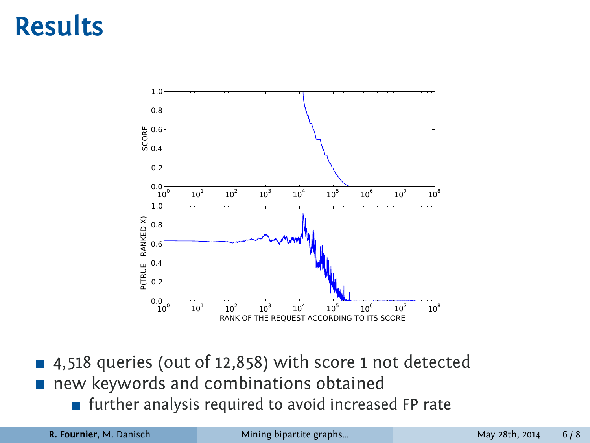# **Results**



- 4,518 queries (out of 12,858) with score 1 not detected
- new keywords and combinations obtained
	- further analysis required to avoid increased FP rate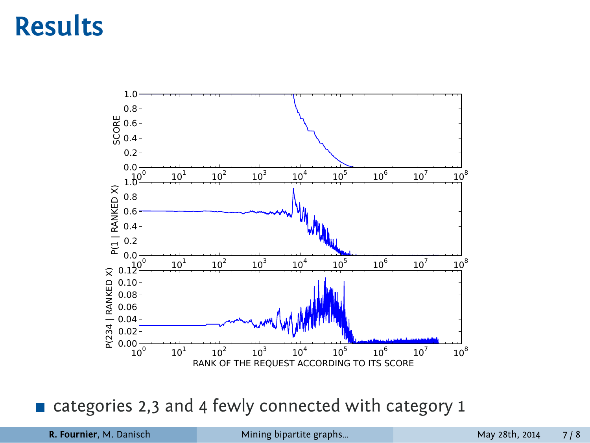# **Results**



categories 2,3 and 4 fewly connected with category 1

| R. Fournier, M. Danisch | Mining bipartite graphs | May 28th, 2014 7/8 |  |
|-------------------------|-------------------------|--------------------|--|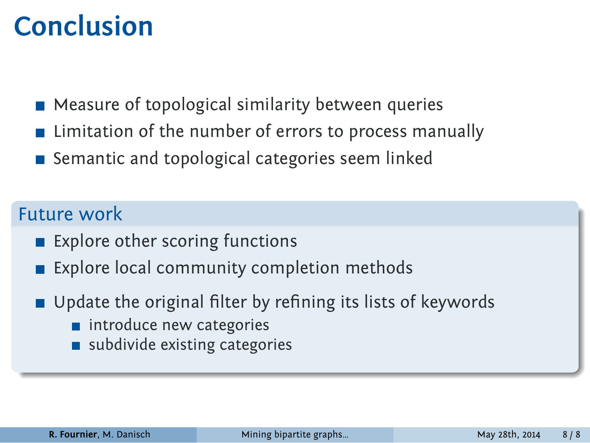## **Conclusion**

- **Measure of topological similarity between queries**
- **EXECUTE:** Limitation of the number of errors to process manually
- Semantic and topological categories seem linked

#### Future work

- **Explore other scoring functions**
- **Explore local community completion methods**
- Update the original filter by refining its lists of keywords
	- **n** introduce new categories
	- subdivide existing categories